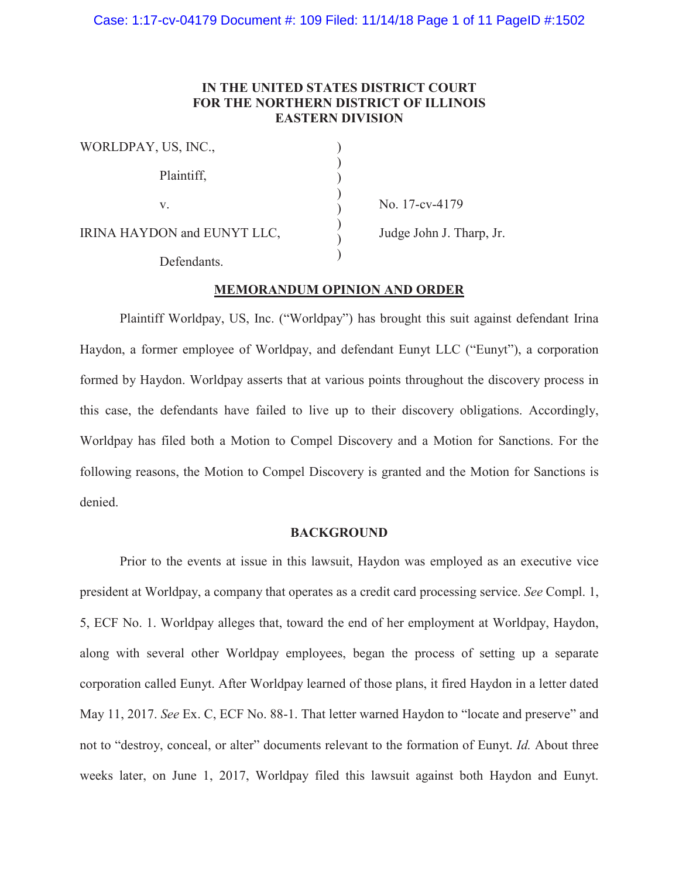# **IN THE UNITED STATES DISTRICT COURT FOR THE NORTHERN DISTRICT OF ILLINOIS EASTERN DIVISION**

| WORLDPAY, US, INC.,         |  |
|-----------------------------|--|
| Plaintiff,                  |  |
| V.                          |  |
| IRINA HAYDON and EUNYT LLC, |  |
| Defendants                  |  |

No. 17-cv-4179

Judge John J. Tharp, Jr.

## **MEMORANDUM OPINION AND ORDER**

Plaintiff Worldpay, US, Inc. ("Worldpay") has brought this suit against defendant Irina Haydon, a former employee of Worldpay, and defendant Eunyt LLC ("Eunyt"), a corporation formed by Haydon. Worldpay asserts that at various points throughout the discovery process in this case, the defendants have failed to live up to their discovery obligations. Accordingly, Worldpay has filed both a Motion to Compel Discovery and a Motion for Sanctions. For the following reasons, the Motion to Compel Discovery is granted and the Motion for Sanctions is denied.

### **BACKGROUND**

Prior to the events at issue in this lawsuit, Haydon was employed as an executive vice president at Worldpay, a company that operates as a credit card processing service. *See* Compl. 1, 5, ECF No. 1. Worldpay alleges that, toward the end of her employment at Worldpay, Haydon, along with several other Worldpay employees, began the process of setting up a separate corporation called Eunyt. After Worldpay learned of those plans, it fired Haydon in a letter dated May 11, 2017. *See* Ex. C, ECF No. 88-1. That letter warned Haydon to "locate and preserve" and not to "destroy, conceal, or alter" documents relevant to the formation of Eunyt. *Id.* About three weeks later, on June 1, 2017, Worldpay filed this lawsuit against both Haydon and Eunyt.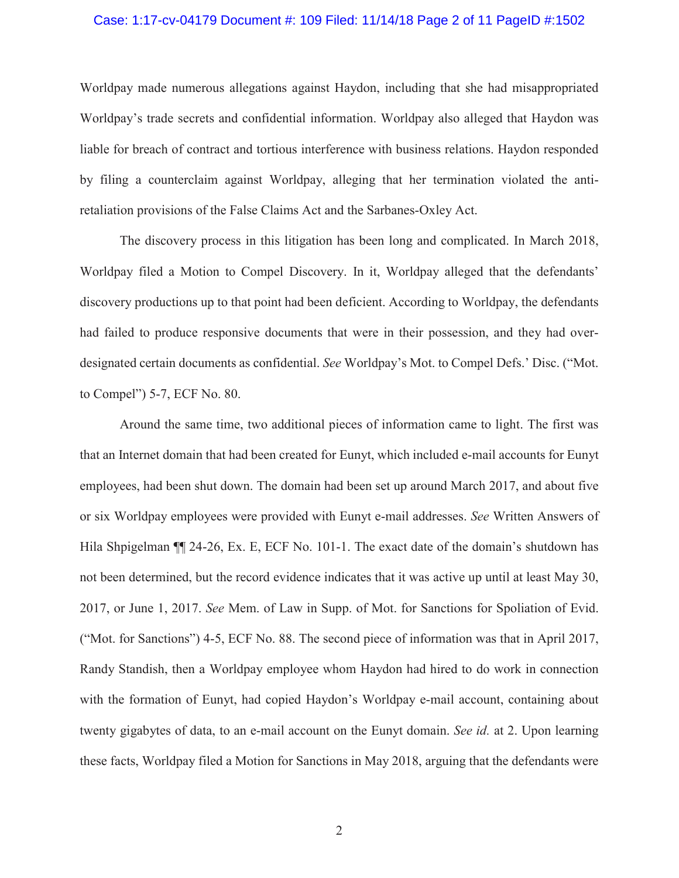#### Case: 1:17-cv-04179 Document #: 109 Filed: 11/14/18 Page 2 of 11 PageID #:1502

Worldpay made numerous allegations against Haydon, including that she had misappropriated Worldpay's trade secrets and confidential information. Worldpay also alleged that Haydon was liable for breach of contract and tortious interference with business relations. Haydon responded by filing a counterclaim against Worldpay, alleging that her termination violated the antiretaliation provisions of the False Claims Act and the Sarbanes-Oxley Act.

The discovery process in this litigation has been long and complicated. In March 2018, Worldpay filed a Motion to Compel Discovery. In it, Worldpay alleged that the defendants' discovery productions up to that point had been deficient. According to Worldpay, the defendants had failed to produce responsive documents that were in their possession, and they had overdesignated certain documents as confidential. *See* Worldpay's Mot. to Compel Defs.' Disc. ("Mot. to Compel") 5-7, ECF No. 80.

Around the same time, two additional pieces of information came to light. The first was that an Internet domain that had been created for Eunyt, which included e-mail accounts for Eunyt employees, had been shut down. The domain had been set up around March 2017, and about five or six Worldpay employees were provided with Eunyt e-mail addresses. *See* Written Answers of Hila Shpigelman ¶¶ 24-26, Ex. E, ECF No. 101-1. The exact date of the domain's shutdown has not been determined, but the record evidence indicates that it was active up until at least May 30, 2017, or June 1, 2017. *See* Mem. of Law in Supp. of Mot. for Sanctions for Spoliation of Evid. ("Mot. for Sanctions") 4-5, ECF No. 88. The second piece of information was that in April 2017, Randy Standish, then a Worldpay employee whom Haydon had hired to do work in connection with the formation of Eunyt, had copied Haydon's Worldpay e-mail account, containing about twenty gigabytes of data, to an e-mail account on the Eunyt domain. *See id.* at 2. Upon learning these facts, Worldpay filed a Motion for Sanctions in May 2018, arguing that the defendants were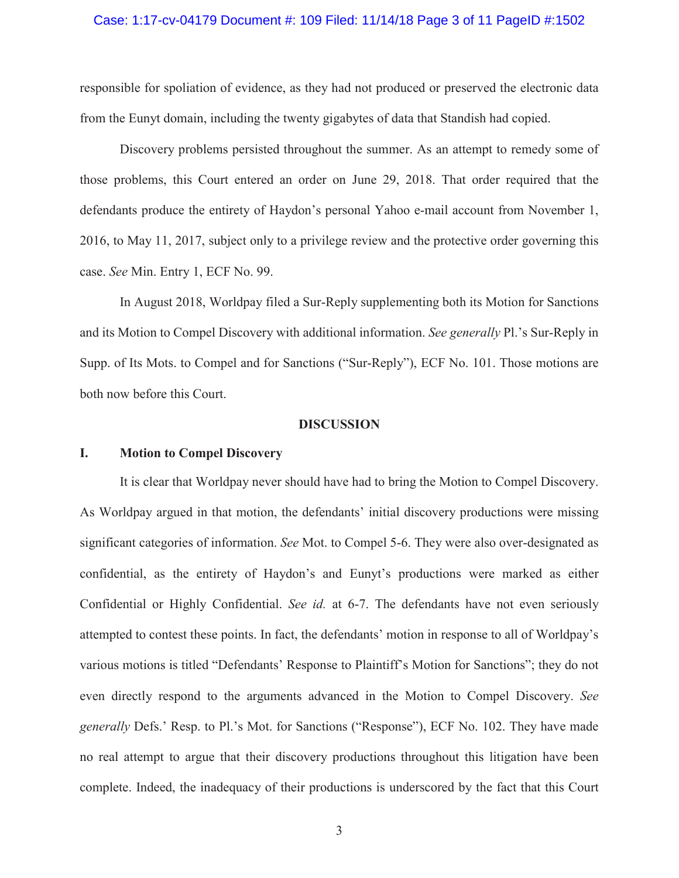#### Case: 1:17-cv-04179 Document #: 109 Filed: 11/14/18 Page 3 of 11 PageID #:1502

responsible for spoliation of evidence, as they had not produced or preserved the electronic data from the Eunyt domain, including the twenty gigabytes of data that Standish had copied.

Discovery problems persisted throughout the summer. As an attempt to remedy some of those problems, this Court entered an order on June 29, 2018. That order required that the defendants produce the entirety of Haydon's personal Yahoo e-mail account from November 1, 2016, to May 11, 2017, subject only to a privilege review and the protective order governing this case. *See* Min. Entry 1, ECF No. 99.

In August 2018, Worldpay filed a Sur-Reply supplementing both its Motion for Sanctions and its Motion to Compel Discovery with additional information. *See generally* Pl.'s Sur-Reply in Supp. of Its Mots. to Compel and for Sanctions ("Sur-Reply"), ECF No. 101. Those motions are both now before this Court.

#### **DISCUSSION**

# **I. Motion to Compel Discovery**

It is clear that Worldpay never should have had to bring the Motion to Compel Discovery. As Worldpay argued in that motion, the defendants' initial discovery productions were missing significant categories of information. *See* Mot. to Compel 5-6. They were also over-designated as confidential, as the entirety of Haydon's and Eunyt's productions were marked as either Confidential or Highly Confidential. *See id.* at 6-7. The defendants have not even seriously attempted to contest these points. In fact, the defendants' motion in response to all of Worldpay's various motions is titled "Defendants' Response to Plaintiff's Motion for Sanctions"; they do not even directly respond to the arguments advanced in the Motion to Compel Discovery. *See generally* Defs.' Resp. to Pl.'s Mot. for Sanctions ("Response"), ECF No. 102. They have made no real attempt to argue that their discovery productions throughout this litigation have been complete. Indeed, the inadequacy of their productions is underscored by the fact that this Court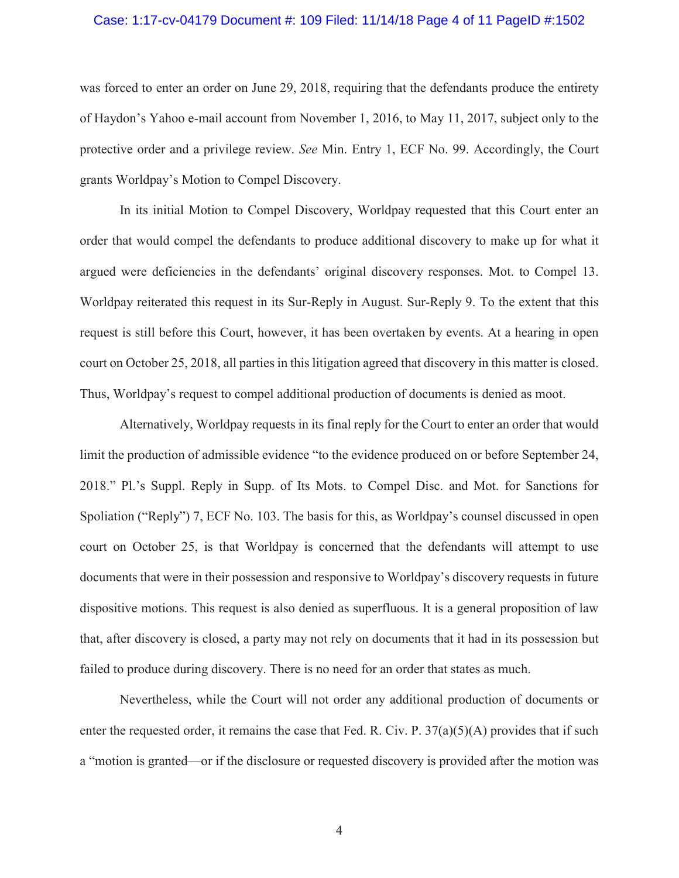#### Case: 1:17-cv-04179 Document #: 109 Filed: 11/14/18 Page 4 of 11 PageID #:1502

was forced to enter an order on June 29, 2018, requiring that the defendants produce the entirety of Haydon's Yahoo e-mail account from November 1, 2016, to May 11, 2017, subject only to the protective order and a privilege review. *See* Min. Entry 1, ECF No. 99. Accordingly, the Court grants Worldpay's Motion to Compel Discovery.

In its initial Motion to Compel Discovery, Worldpay requested that this Court enter an order that would compel the defendants to produce additional discovery to make up for what it argued were deficiencies in the defendants' original discovery responses. Mot. to Compel 13. Worldpay reiterated this request in its Sur-Reply in August. Sur-Reply 9. To the extent that this request is still before this Court, however, it has been overtaken by events. At a hearing in open court on October 25, 2018, all parties in this litigation agreed that discovery in this matter is closed. Thus, Worldpay's request to compel additional production of documents is denied as moot.

Alternatively, Worldpay requests in its final reply for the Court to enter an order that would limit the production of admissible evidence "to the evidence produced on or before September 24, 2018." Pl.'s Suppl. Reply in Supp. of Its Mots. to Compel Disc. and Mot. for Sanctions for Spoliation ("Reply") 7, ECF No. 103. The basis for this, as Worldpay's counsel discussed in open court on October 25, is that Worldpay is concerned that the defendants will attempt to use documents that were in their possession and responsive to Worldpay's discovery requests in future dispositive motions. This request is also denied as superfluous. It is a general proposition of law that, after discovery is closed, a party may not rely on documents that it had in its possession but failed to produce during discovery. There is no need for an order that states as much.

Nevertheless, while the Court will not order any additional production of documents or enter the requested order, it remains the case that Fed. R. Civ. P.  $37(a)(5)(A)$  provides that if such a "motion is granted—or if the disclosure or requested discovery is provided after the motion was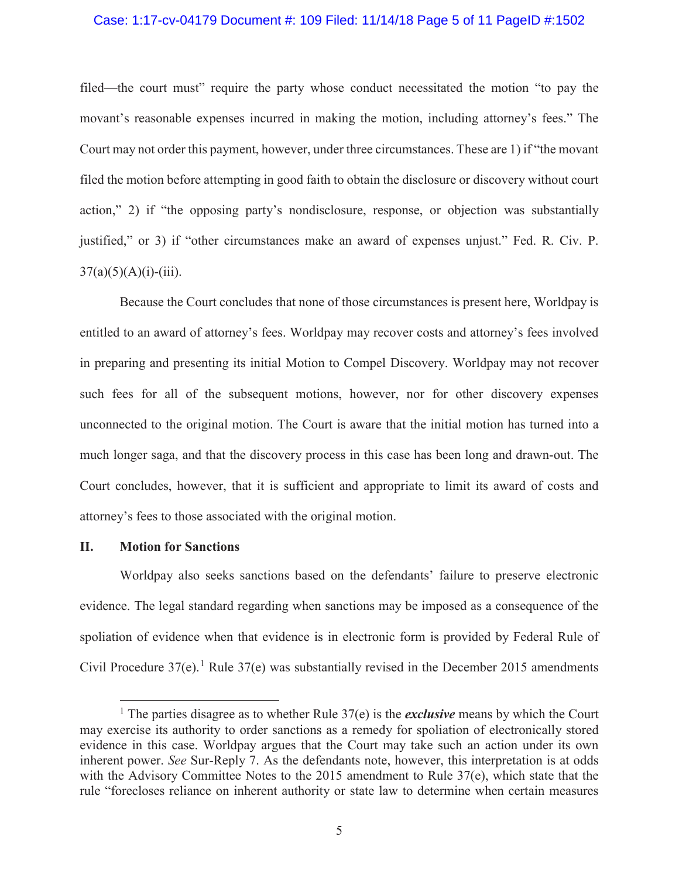#### Case: 1:17-cv-04179 Document #: 109 Filed: 11/14/18 Page 5 of 11 PageID #:1502

filed—the court must" require the party whose conduct necessitated the motion "to pay the movant's reasonable expenses incurred in making the motion, including attorney's fees." The Court may not order this payment, however, under three circumstances. These are 1) if "the movant filed the motion before attempting in good faith to obtain the disclosure or discovery without court action," 2) if "the opposing party's nondisclosure, response, or objection was substantially justified," or 3) if "other circumstances make an award of expenses unjust." Fed. R. Civ. P.  $37(a)(5)(A)(i)-(iii)$ .

Because the Court concludes that none of those circumstances is present here, Worldpay is entitled to an award of attorney's fees. Worldpay may recover costs and attorney's fees involved in preparing and presenting its initial Motion to Compel Discovery. Worldpay may not recover such fees for all of the subsequent motions, however, nor for other discovery expenses unconnected to the original motion. The Court is aware that the initial motion has turned into a much longer saga, and that the discovery process in this case has been long and drawn-out. The Court concludes, however, that it is sufficient and appropriate to limit its award of costs and attorney's fees to those associated with the original motion.

#### **II. Motion for Sanctions**

 $\overline{a}$ 

Worldpay also seeks sanctions based on the defendants' failure to preserve electronic evidence. The legal standard regarding when sanctions may be imposed as a consequence of the spoliation of evidence when that evidence is in electronic form is provided by Federal Rule of Civil Procedure  $37(e)$ .<sup>1</sup> Rule  $37(e)$  was substantially revised in the December 2015 amendments

<sup>&</sup>lt;sup>1</sup> The parties disagree as to whether Rule 37(e) is the *exclusive* means by which the Court may exercise its authority to order sanctions as a remedy for spoliation of electronically stored evidence in this case. Worldpay argues that the Court may take such an action under its own inherent power. *See* Sur-Reply 7. As the defendants note, however, this interpretation is at odds with the Advisory Committee Notes to the 2015 amendment to Rule 37(e), which state that the rule "forecloses reliance on inherent authority or state law to determine when certain measures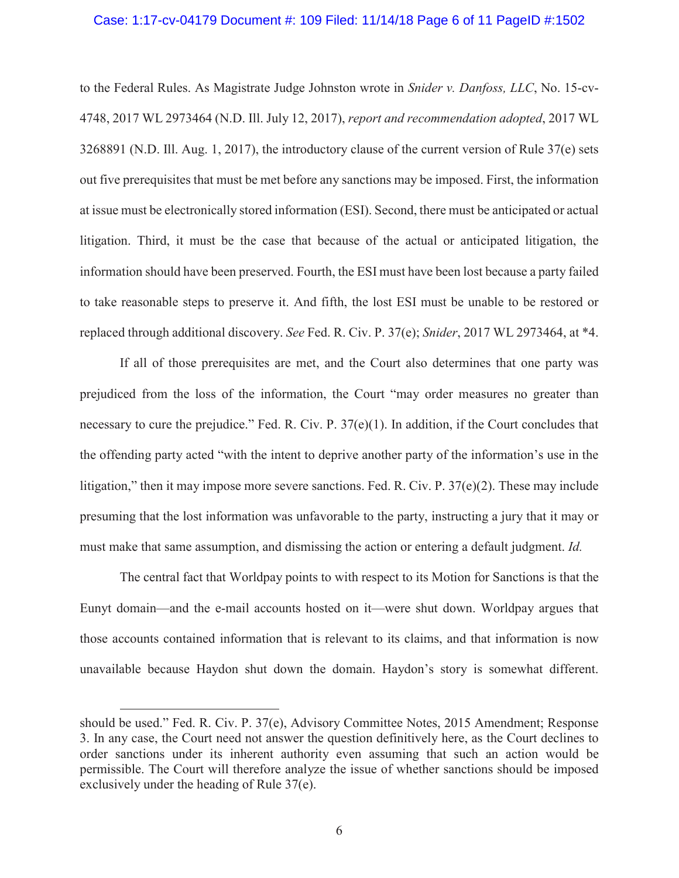#### Case: 1:17-cv-04179 Document #: 109 Filed: 11/14/18 Page 6 of 11 PageID #:1502

to the Federal Rules. As Magistrate Judge Johnston wrote in *Snider v. Danfoss, LLC*, No. 15-cv-4748, 2017 WL 2973464 (N.D. Ill. July 12, 2017), *report and recommendation adopted*, 2017 WL 3268891 (N.D. Ill. Aug. 1, 2017), the introductory clause of the current version of Rule 37(e) sets out five prerequisites that must be met before any sanctions may be imposed. First, the information at issue must be electronically stored information (ESI). Second, there must be anticipated or actual litigation. Third, it must be the case that because of the actual or anticipated litigation, the information should have been preserved. Fourth, the ESI must have been lost because a party failed to take reasonable steps to preserve it. And fifth, the lost ESI must be unable to be restored or replaced through additional discovery. *See* Fed. R. Civ. P. 37(e); *Snider*, 2017 WL 2973464, at \*4.

If all of those prerequisites are met, and the Court also determines that one party was prejudiced from the loss of the information, the Court "may order measures no greater than necessary to cure the prejudice." Fed. R. Civ. P.  $37(e)(1)$ . In addition, if the Court concludes that the offending party acted "with the intent to deprive another party of the information's use in the litigation," then it may impose more severe sanctions. Fed. R. Civ. P.  $37(e)(2)$ . These may include presuming that the lost information was unfavorable to the party, instructing a jury that it may or must make that same assumption, and dismissing the action or entering a default judgment. *Id.* 

The central fact that Worldpay points to with respect to its Motion for Sanctions is that the Eunyt domain—and the e-mail accounts hosted on it—were shut down. Worldpay argues that those accounts contained information that is relevant to its claims, and that information is now unavailable because Haydon shut down the domain. Haydon's story is somewhat different.

 $\overline{a}$ 

should be used." Fed. R. Civ. P. 37(e), Advisory Committee Notes, 2015 Amendment; Response 3. In any case, the Court need not answer the question definitively here, as the Court declines to order sanctions under its inherent authority even assuming that such an action would be permissible. The Court will therefore analyze the issue of whether sanctions should be imposed exclusively under the heading of Rule 37(e).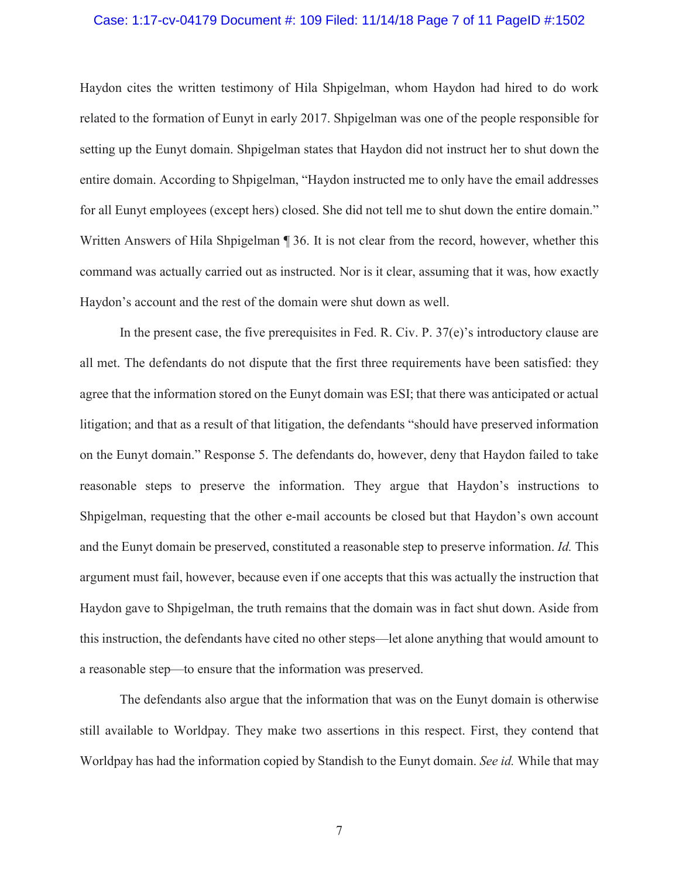#### Case: 1:17-cv-04179 Document #: 109 Filed: 11/14/18 Page 7 of 11 PageID #:1502

Haydon cites the written testimony of Hila Shpigelman, whom Haydon had hired to do work related to the formation of Eunyt in early 2017. Shpigelman was one of the people responsible for setting up the Eunyt domain. Shpigelman states that Haydon did not instruct her to shut down the entire domain. According to Shpigelman, "Haydon instructed me to only have the email addresses for all Eunyt employees (except hers) closed. She did not tell me to shut down the entire domain." Written Answers of Hila Shpigelman ¶ 36. It is not clear from the record, however, whether this command was actually carried out as instructed. Nor is it clear, assuming that it was, how exactly Haydon's account and the rest of the domain were shut down as well.

In the present case, the five prerequisites in Fed. R. Civ. P. 37(e)'s introductory clause are all met. The defendants do not dispute that the first three requirements have been satisfied: they agree that the information stored on the Eunyt domain was ESI; that there was anticipated or actual litigation; and that as a result of that litigation, the defendants "should have preserved information on the Eunyt domain." Response 5. The defendants do, however, deny that Haydon failed to take reasonable steps to preserve the information. They argue that Haydon's instructions to Shpigelman, requesting that the other e-mail accounts be closed but that Haydon's own account and the Eunyt domain be preserved, constituted a reasonable step to preserve information. *Id.* This argument must fail, however, because even if one accepts that this was actually the instruction that Haydon gave to Shpigelman, the truth remains that the domain was in fact shut down. Aside from this instruction, the defendants have cited no other steps—let alone anything that would amount to a reasonable step—to ensure that the information was preserved.

The defendants also argue that the information that was on the Eunyt domain is otherwise still available to Worldpay. They make two assertions in this respect. First, they contend that Worldpay has had the information copied by Standish to the Eunyt domain. *See id.* While that may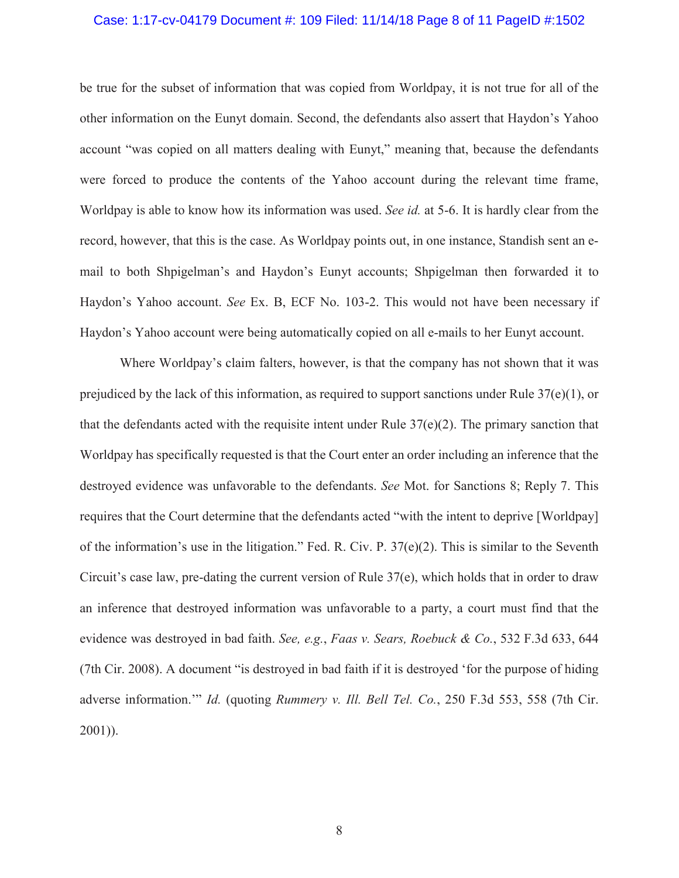#### Case: 1:17-cv-04179 Document #: 109 Filed: 11/14/18 Page 8 of 11 PageID #:1502

be true for the subset of information that was copied from Worldpay, it is not true for all of the other information on the Eunyt domain. Second, the defendants also assert that Haydon's Yahoo account "was copied on all matters dealing with Eunyt," meaning that, because the defendants were forced to produce the contents of the Yahoo account during the relevant time frame, Worldpay is able to know how its information was used. *See id.* at 5-6. It is hardly clear from the record, however, that this is the case. As Worldpay points out, in one instance, Standish sent an email to both Shpigelman's and Haydon's Eunyt accounts; Shpigelman then forwarded it to Haydon's Yahoo account. *See* Ex. B, ECF No. 103-2. This would not have been necessary if Haydon's Yahoo account were being automatically copied on all e-mails to her Eunyt account.

Where Worldpay's claim falters, however, is that the company has not shown that it was prejudiced by the lack of this information, as required to support sanctions under Rule  $37(e)(1)$ , or that the defendants acted with the requisite intent under Rule  $37(e)(2)$ . The primary sanction that Worldpay has specifically requested is that the Court enter an order including an inference that the destroyed evidence was unfavorable to the defendants. *See* Mot. for Sanctions 8; Reply 7. This requires that the Court determine that the defendants acted "with the intent to deprive [Worldpay] of the information's use in the litigation." Fed. R. Civ. P.  $37(e)(2)$ . This is similar to the Seventh Circuit's case law, pre-dating the current version of Rule 37(e), which holds that in order to draw an inference that destroyed information was unfavorable to a party, a court must find that the evidence was destroyed in bad faith. *See, e.g.*, *Faas v. Sears, Roebuck & Co.*, 532 F.3d 633, 644 (7th Cir. 2008). A document "is destroyed in bad faith if it is destroyed 'for the purpose of hiding adverse information.'" *Id.* (quoting *Rummery v. Ill. Bell Tel. Co.*, 250 F.3d 553, 558 (7th Cir. 2001)).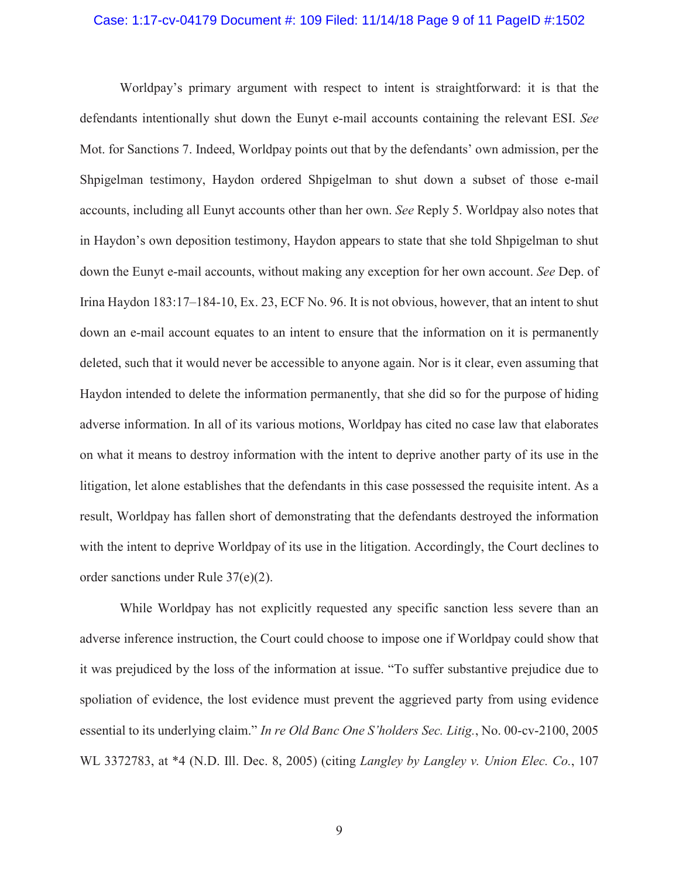#### Case: 1:17-cv-04179 Document #: 109 Filed: 11/14/18 Page 9 of 11 PageID #:1502

Worldpay's primary argument with respect to intent is straightforward: it is that the defendants intentionally shut down the Eunyt e-mail accounts containing the relevant ESI. *See*  Mot. for Sanctions 7. Indeed, Worldpay points out that by the defendants' own admission, per the Shpigelman testimony, Haydon ordered Shpigelman to shut down a subset of those e-mail accounts, including all Eunyt accounts other than her own. *See* Reply 5. Worldpay also notes that in Haydon's own deposition testimony, Haydon appears to state that she told Shpigelman to shut down the Eunyt e-mail accounts, without making any exception for her own account. *See* Dep. of Irina Haydon 183:17–184-10, Ex. 23, ECF No. 96. It is not obvious, however, that an intent to shut down an e-mail account equates to an intent to ensure that the information on it is permanently deleted, such that it would never be accessible to anyone again. Nor is it clear, even assuming that Haydon intended to delete the information permanently, that she did so for the purpose of hiding adverse information. In all of its various motions, Worldpay has cited no case law that elaborates on what it means to destroy information with the intent to deprive another party of its use in the litigation, let alone establishes that the defendants in this case possessed the requisite intent. As a result, Worldpay has fallen short of demonstrating that the defendants destroyed the information with the intent to deprive Worldpay of its use in the litigation. Accordingly, the Court declines to order sanctions under Rule 37(e)(2).

While Worldpay has not explicitly requested any specific sanction less severe than an adverse inference instruction, the Court could choose to impose one if Worldpay could show that it was prejudiced by the loss of the information at issue. "To suffer substantive prejudice due to spoliation of evidence, the lost evidence must prevent the aggrieved party from using evidence essential to its underlying claim." *In re Old Banc One S'holders Sec. Litig.*, No. 00-cv-2100, 2005 WL 3372783, at \*4 (N.D. Ill. Dec. 8, 2005) (citing *Langley by Langley v. Union Elec. Co.*, 107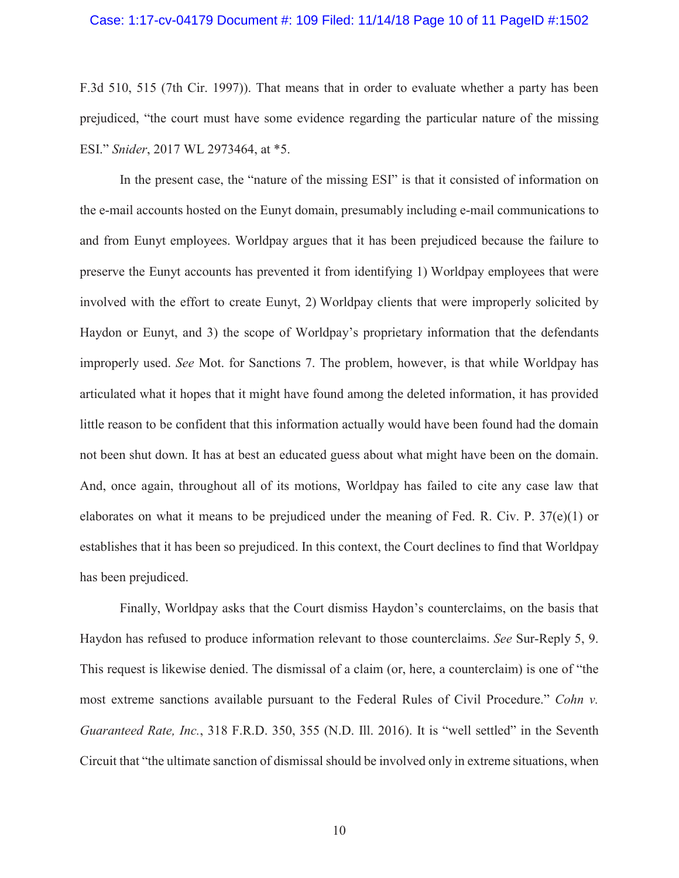#### Case: 1:17-cv-04179 Document #: 109 Filed: 11/14/18 Page 10 of 11 PageID #:1502

F.3d 510, 515 (7th Cir. 1997)). That means that in order to evaluate whether a party has been prejudiced, "the court must have some evidence regarding the particular nature of the missing ESI." *Snider*, 2017 WL 2973464, at \*5.

In the present case, the "nature of the missing ESI" is that it consisted of information on the e-mail accounts hosted on the Eunyt domain, presumably including e-mail communications to and from Eunyt employees. Worldpay argues that it has been prejudiced because the failure to preserve the Eunyt accounts has prevented it from identifying 1) Worldpay employees that were involved with the effort to create Eunyt, 2) Worldpay clients that were improperly solicited by Haydon or Eunyt, and 3) the scope of Worldpay's proprietary information that the defendants improperly used. *See* Mot. for Sanctions 7. The problem, however, is that while Worldpay has articulated what it hopes that it might have found among the deleted information, it has provided little reason to be confident that this information actually would have been found had the domain not been shut down. It has at best an educated guess about what might have been on the domain. And, once again, throughout all of its motions, Worldpay has failed to cite any case law that elaborates on what it means to be prejudiced under the meaning of Fed. R. Civ. P. 37(e)(1) or establishes that it has been so prejudiced. In this context, the Court declines to find that Worldpay has been prejudiced.

Finally, Worldpay asks that the Court dismiss Haydon's counterclaims, on the basis that Haydon has refused to produce information relevant to those counterclaims. *See* Sur-Reply 5, 9. This request is likewise denied. The dismissal of a claim (or, here, a counterclaim) is one of "the most extreme sanctions available pursuant to the Federal Rules of Civil Procedure." *Cohn v. Guaranteed Rate, Inc.*, 318 F.R.D. 350, 355 (N.D. Ill. 2016). It is "well settled" in the Seventh Circuit that "the ultimate sanction of dismissal should be involved only in extreme situations, when